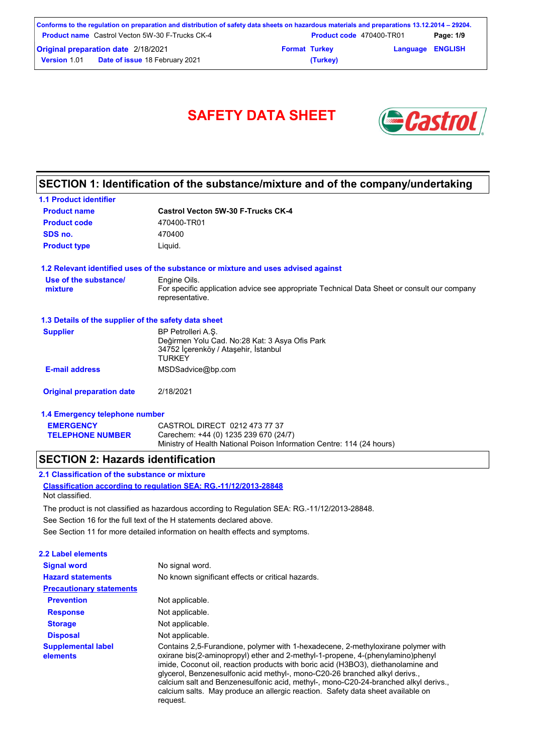|                     | Conforms to the regulation on preparation and distribution of safety data sheets on hazardous materials and preparations 13.12.2014 – 29204. |                                 |                         |           |
|---------------------|----------------------------------------------------------------------------------------------------------------------------------------------|---------------------------------|-------------------------|-----------|
|                     | <b>Product name</b> Castrol Vecton 5W-30 F-Trucks CK-4                                                                                       | <b>Product code</b> 470400-TR01 |                         | Page: 1/9 |
|                     | <b>Original preparation date 2/18/2021</b>                                                                                                   | <b>Format Turkey</b>            | <b>Language ENGLISH</b> |           |
| <b>Version 1.01</b> | <b>Date of issue 18 February 2021</b>                                                                                                        | (Turkey)                        |                         |           |



## **SECTION 1: Identification of the substance/mixture and of the company/undertaking**

| <b>1.1 Product identifier</b>                        |                                                                                                                               |
|------------------------------------------------------|-------------------------------------------------------------------------------------------------------------------------------|
| <b>Product name</b>                                  | <b>Castrol Vecton 5W-30 F-Trucks CK-4</b>                                                                                     |
| <b>Product code</b>                                  | 470400-TR01                                                                                                                   |
| SDS no.                                              | 470400                                                                                                                        |
| <b>Product type</b>                                  | Liquid.                                                                                                                       |
|                                                      | 1.2 Relevant identified uses of the substance or mixture and uses advised against                                             |
| Use of the substance/                                | Engine Oils.                                                                                                                  |
| mixture                                              | For specific application advice see appropriate Technical Data Sheet or consult our company<br>representative.                |
| 1.3 Details of the supplier of the safety data sheet |                                                                                                                               |
| <b>Supplier</b>                                      | BP Petrolleri A.S.<br>Değirmen Yolu Cad. No:28 Kat: 3 Asya Ofis Park<br>34752 İçerenköy / Ataşehir, İstanbul<br><b>TURKEY</b> |
| <b>E-mail address</b>                                | MSDSadvice@bp.com                                                                                                             |
| <b>Original preparation date</b>                     | 2/18/2021                                                                                                                     |
| 1.4 Emergency telephone number                       |                                                                                                                               |
| <b>EMERGENCY</b>                                     | CASTROL DIRECT 0212 473 77 37                                                                                                 |
| <b>TELEPHONE NUMBER</b>                              | Carechem: +44 (0) 1235 239 670 (24/7)                                                                                         |

Ministry of Health National Poison Information Centre: 114 (24 hours)

### **SECTION 2: Hazards identification**

**2.1 Classification of the substance or mixture**

**Classification according to regulation SEA: RG.-11/12/2013-28848** Not classified.

The product is not classified as hazardous according to Regulation SEA: RG.-11/12/2013-28848.

See Section 16 for the full text of the H statements declared above.

See Section 11 for more detailed information on health effects and symptoms.

| <b>2.2 Label elements</b>             |                                                                                                                                                                                                                                                                                                                                                                                                                                                                                                                              |
|---------------------------------------|------------------------------------------------------------------------------------------------------------------------------------------------------------------------------------------------------------------------------------------------------------------------------------------------------------------------------------------------------------------------------------------------------------------------------------------------------------------------------------------------------------------------------|
| <b>Signal word</b>                    | No signal word.                                                                                                                                                                                                                                                                                                                                                                                                                                                                                                              |
| <b>Hazard statements</b>              | No known significant effects or critical hazards.                                                                                                                                                                                                                                                                                                                                                                                                                                                                            |
| <b>Precautionary statements</b>       |                                                                                                                                                                                                                                                                                                                                                                                                                                                                                                                              |
| <b>Prevention</b>                     | Not applicable.                                                                                                                                                                                                                                                                                                                                                                                                                                                                                                              |
| <b>Response</b>                       | Not applicable.                                                                                                                                                                                                                                                                                                                                                                                                                                                                                                              |
| <b>Storage</b>                        | Not applicable.                                                                                                                                                                                                                                                                                                                                                                                                                                                                                                              |
| <b>Disposal</b>                       | Not applicable.                                                                                                                                                                                                                                                                                                                                                                                                                                                                                                              |
| <b>Supplemental label</b><br>elements | Contains 2.5-Furandione, polymer with 1-hexadecene, 2-methyloxirane polymer with<br>oxirane bis(2-aminopropyl) ether and 2-methyl-1-propene, 4-(phenylamino)phenyl<br>imide, Coconut oil, reaction products with boric acid (H3BO3), diethanolamine and<br>glycerol, Benzenesulfonic acid methyl-, mono-C20-26 branched alkyl derivs.,<br>calcium salt and Benzenesulfonic acid, methyl-, mono-C20-24-branched alkyl derivs.,<br>calcium salts. May produce an allergic reaction. Safety data sheet available on<br>request. |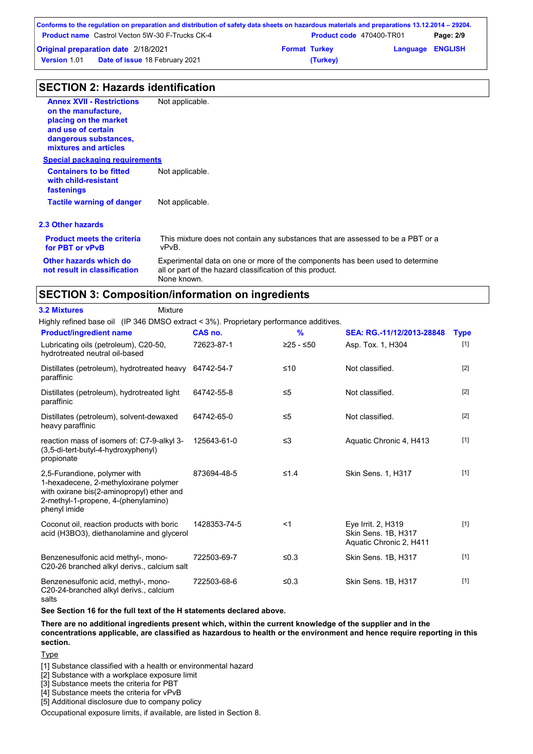|                     | Conforms to the regulation on preparation and distribution of safety data sheets on hazardous materials and preparations 13.12.2014 – 29204. |                                 |                         |           |
|---------------------|----------------------------------------------------------------------------------------------------------------------------------------------|---------------------------------|-------------------------|-----------|
|                     | <b>Product name</b> Castrol Vecton 5W-30 F-Trucks CK-4                                                                                       | <b>Product code</b> 470400-TR01 |                         | Page: 2/9 |
|                     | <b>Original preparation date 2/18/2021</b>                                                                                                   | <b>Format Turkey</b>            | <b>Language ENGLISH</b> |           |
| <b>Version 1.01</b> | <b>Date of issue 18 February 2021</b>                                                                                                        | (Turkey)                        |                         |           |

| <b>SECTION 2: Hazards identification</b>                                                                                                                 |                                                                                                                                                           |
|----------------------------------------------------------------------------------------------------------------------------------------------------------|-----------------------------------------------------------------------------------------------------------------------------------------------------------|
| <b>Annex XVII - Restrictions</b><br>on the manufacture.<br>placing on the market<br>and use of certain<br>dangerous substances,<br>mixtures and articles | Not applicable.                                                                                                                                           |
| <b>Special packaging requirements</b>                                                                                                                    |                                                                                                                                                           |
| <b>Containers to be fitted</b><br>with child-resistant<br>fastenings                                                                                     | Not applicable.                                                                                                                                           |
| <b>Tactile warning of danger</b>                                                                                                                         | Not applicable.                                                                                                                                           |
| 2.3 Other hazards                                                                                                                                        |                                                                                                                                                           |
| <b>Product meets the criteria</b><br>for PBT or vPvB                                                                                                     | This mixture does not contain any substances that are assessed to be a PBT or a<br>vPvB.                                                                  |
| Other hazards which do<br>not result in classification                                                                                                   | Experimental data on one or more of the components has been used to determine<br>all or part of the hazard classification of this product.<br>None known. |

### **SECTION 3: Composition/information on ingredients**

| <b>3.2 Mixtures</b><br>Mixture                                                                                                                                            |              |               |                                                                      |             |
|---------------------------------------------------------------------------------------------------------------------------------------------------------------------------|--------------|---------------|----------------------------------------------------------------------|-------------|
| Highly refined base oil (IP 346 DMSO extract < 3%). Proprietary performance additives.                                                                                    |              |               |                                                                      |             |
| <b>Product/ingredient name</b>                                                                                                                                            | CAS no.      | $\frac{9}{6}$ | SEA: RG.-11/12/2013-28848                                            | <b>Type</b> |
| Lubricating oils (petroleum), C20-50,<br>hydrotreated neutral oil-based                                                                                                   | 72623-87-1   | ≥25 - ≤50     | Asp. Tox. 1, H304                                                    | $[1]$       |
| Distillates (petroleum), hydrotreated heavy<br>paraffinic                                                                                                                 | 64742-54-7   | $≤10$         | Not classified.                                                      | $[2]$       |
| Distillates (petroleum), hydrotreated light<br>paraffinic                                                                                                                 | 64742-55-8   | $\leq 5$      | Not classified.                                                      | $[2]$       |
| Distillates (petroleum), solvent-dewaxed<br>heavy paraffinic                                                                                                              | 64742-65-0   | $\leq 5$      | Not classified.                                                      | $[2]$       |
| reaction mass of isomers of: C7-9-alkyl 3-<br>(3,5-di-tert-butyl-4-hydroxyphenyl)<br>propionate                                                                           | 125643-61-0  | $\leq$ 3      | Aquatic Chronic 4, H413                                              | $[1]$       |
| 2,5-Furandione, polymer with<br>1-hexadecene, 2-methyloxirane polymer<br>with oxirane bis(2-aminopropyl) ether and<br>2-methyl-1-propene, 4-(phenylamino)<br>phenyl imide | 873694-48-5  | $≤1.4$        | Skin Sens. 1, H317                                                   | $[1]$       |
| Coconut oil, reaction products with boric<br>acid (H3BO3), diethanolamine and glycerol                                                                                    | 1428353-74-5 | $<$ 1         | Eye Irrit. 2, H319<br>Skin Sens. 1B, H317<br>Aquatic Chronic 2, H411 | $[1]$       |
| Benzenesulfonic acid methyl-, mono-<br>C20-26 branched alkyl derivs., calcium salt                                                                                        | 722503-69-7  | ≤0.3          | Skin Sens. 1B, H317                                                  | $[1]$       |
| Benzenesulfonic acid, methyl-, mono-<br>C20-24-branched alkyl derivs., calcium<br>salts                                                                                   | 722503-68-6  | ≤0.3          | Skin Sens. 1B, H317                                                  | $[1]$       |

**See Section 16 for the full text of the H statements declared above.**

#### **There are no additional ingredients present which, within the current knowledge of the supplier and in the concentrations applicable, are classified as hazardous to health or the environment and hence require reporting in this section.**

**Type** 

[1] Substance classified with a health or environmental hazard

[2] Substance with a workplace exposure limit

[3] Substance meets the criteria for PBT

[4] Substance meets the criteria for vPvB

[5] Additional disclosure due to company policy

Occupational exposure limits, if available, are listed in Section 8.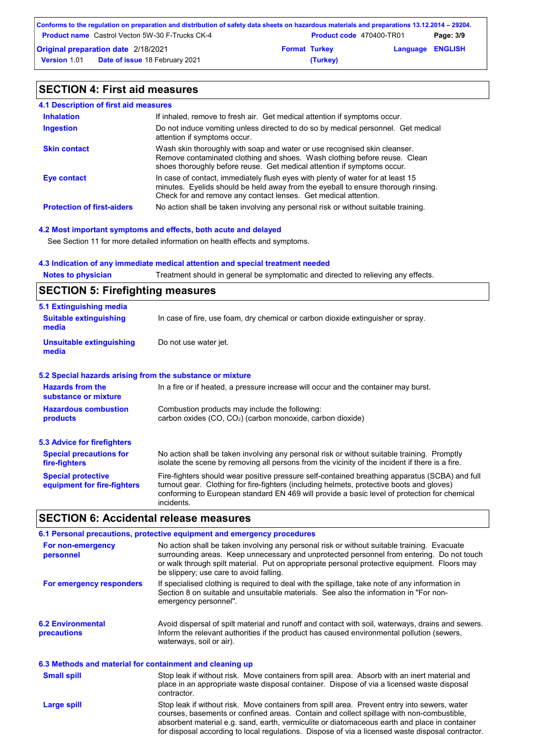| Conforms to the regulation on preparation and distribution of safety data sheets on hazardous materials and preparations 13.12.2014 – 29204. |                      |                                 |                         |           |
|----------------------------------------------------------------------------------------------------------------------------------------------|----------------------|---------------------------------|-------------------------|-----------|
| <b>Product name</b> Castrol Vecton 5W-30 F-Trucks CK-4                                                                                       |                      | <b>Product code</b> 470400-TR01 |                         | Page: 3/9 |
| Original preparation date 2/18/2021                                                                                                          | <b>Format Turkey</b> |                                 | <b>Language ENGLISH</b> |           |
| <b>Version 1.01 Date of issue 18 February 2021</b>                                                                                           |                      | (Turkey)                        |                         |           |

# **SECTION 4: First aid measures**

| 4.1 Description of first aid measures |                                                                                                                                                                                                                                         |
|---------------------------------------|-----------------------------------------------------------------------------------------------------------------------------------------------------------------------------------------------------------------------------------------|
| <b>Inhalation</b>                     | If inhaled, remove to fresh air. Get medical attention if symptoms occur.                                                                                                                                                               |
| <b>Ingestion</b>                      | Do not induce vomiting unless directed to do so by medical personnel. Get medical<br>attention if symptoms occur.                                                                                                                       |
| <b>Skin contact</b>                   | Wash skin thoroughly with soap and water or use recognised skin cleanser.<br>Remove contaminated clothing and shoes. Wash clothing before reuse. Clean<br>shoes thoroughly before reuse. Get medical attention if symptoms occur.       |
| Eye contact                           | In case of contact, immediately flush eyes with plenty of water for at least 15<br>minutes. Eyelids should be held away from the eyeball to ensure thorough rinsing.<br>Check for and remove any contact lenses. Get medical attention. |
| <b>Protection of first-aiders</b>     | No action shall be taken involving any personal risk or without suitable training.                                                                                                                                                      |

#### **4.2 Most important symptoms and effects, both acute and delayed**

See Section 11 for more detailed information on health effects and symptoms.

#### **4.3 Indication of any immediate medical attention and special treatment needed**

| <b>Notes to physician</b> | Treatment should in general be symptomatic and directed to relieving any effects. |
|---------------------------|-----------------------------------------------------------------------------------|
|                           |                                                                                   |

# **SECTION 5: Firefighting measures**

| 5.1 Extinguishing media                                   |                                                                                                                                                                                                                                                                                                           |
|-----------------------------------------------------------|-----------------------------------------------------------------------------------------------------------------------------------------------------------------------------------------------------------------------------------------------------------------------------------------------------------|
| <b>Suitable extinguishing</b><br>media                    | In case of fire, use foam, dry chemical or carbon dioxide extinguisher or spray.                                                                                                                                                                                                                          |
| <b>Unsuitable extinguishing</b><br>media                  | Do not use water jet.                                                                                                                                                                                                                                                                                     |
| 5.2 Special hazards arising from the substance or mixture |                                                                                                                                                                                                                                                                                                           |
| <b>Hazards from the</b><br>substance or mixture           | In a fire or if heated, a pressure increase will occur and the container may burst.                                                                                                                                                                                                                       |
| <b>Hazardous combustion</b><br>products                   | Combustion products may include the following:<br>carbon oxides (CO, CO <sub>2</sub> ) (carbon monoxide, carbon dioxide)                                                                                                                                                                                  |
| 5.3 Advice for firefighters                               |                                                                                                                                                                                                                                                                                                           |
| <b>Special precautions for</b><br>fire-fighters           | No action shall be taken involving any personal risk or without suitable training. Promptly<br>isolate the scene by removing all persons from the vicinity of the incident if there is a fire.                                                                                                            |
| <b>Special protective</b><br>equipment for fire-fighters  | Fire-fighters should wear positive pressure self-contained breathing apparatus (SCBA) and full<br>turnout gear. Clothing for fire-fighters (including helmets, protective boots and gloves)<br>conforming to European standard EN 469 will provide a basic level of protection for chemical<br>incidents. |

### **SECTION 6: Accidental release measures**

|                                                          | 6.1 Personal precautions, protective equipment and emergency procedures                                                                                                                                                                                                                                                                                                                        |
|----------------------------------------------------------|------------------------------------------------------------------------------------------------------------------------------------------------------------------------------------------------------------------------------------------------------------------------------------------------------------------------------------------------------------------------------------------------|
| For non-emergency<br>personnel                           | No action shall be taken involving any personal risk or without suitable training. Evacuate<br>surrounding areas. Keep unnecessary and unprotected personnel from entering. Do not touch<br>or walk through spilt material. Put on appropriate personal protective equipment. Floors may<br>be slippery; use care to avoid falling.                                                            |
| For emergency responders                                 | If specialised clothing is required to deal with the spillage, take note of any information in<br>Section 8 on suitable and unsuitable materials. See also the information in "For non-<br>emergency personnel".                                                                                                                                                                               |
| <b>6.2 Environmental</b><br>precautions                  | Avoid dispersal of spilt material and runoff and contact with soil, waterways, drains and sewers.<br>Inform the relevant authorities if the product has caused environmental pollution (sewers,<br>waterways, soil or air).                                                                                                                                                                    |
| 6.3 Methods and material for containment and cleaning up |                                                                                                                                                                                                                                                                                                                                                                                                |
| <b>Small spill</b>                                       | Stop leak if without risk. Move containers from spill area. Absorb with an inert material and<br>place in an appropriate waste disposal container. Dispose of via a licensed waste disposal<br>contractor.                                                                                                                                                                                     |
| Large spill                                              | Stop leak if without risk. Move containers from spill area. Prevent entry into sewers, water<br>courses, basements or confined areas. Contain and collect spillage with non-combustible,<br>absorbent material e.g. sand, earth, vermiculite or diatomaceous earth and place in container<br>for disposal according to local regulations. Dispose of via a licensed waste disposal contractor. |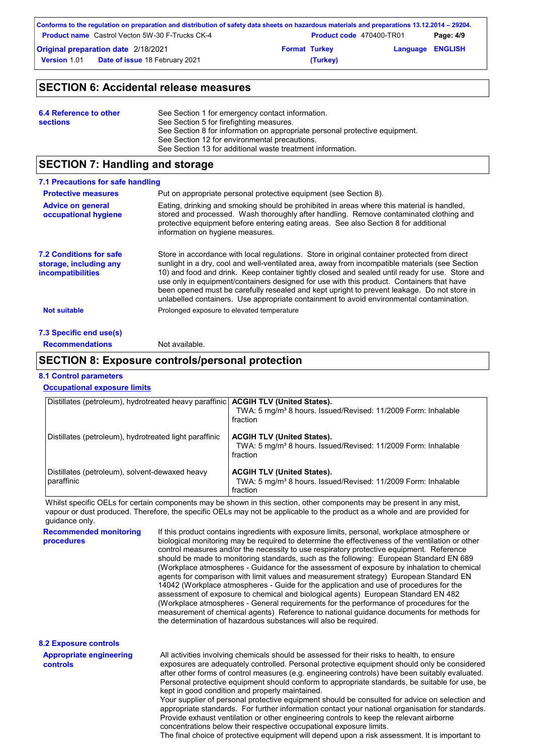|                     | Conforms to the regulation on preparation and distribution of safety data sheets on hazardous materials and preparations 13.12.2014 – 29204. |                                 |                         |           |
|---------------------|----------------------------------------------------------------------------------------------------------------------------------------------|---------------------------------|-------------------------|-----------|
|                     | <b>Product name</b> Castrol Vecton 5W-30 F-Trucks CK-4                                                                                       | <b>Product code</b> 470400-TR01 |                         | Page: 4/9 |
|                     | <b>Original preparation date 2/18/2021</b>                                                                                                   | <b>Format Turkey</b>            | <b>Language ENGLISH</b> |           |
| <b>Version 1.01</b> | <b>Date of issue 18 February 2021</b>                                                                                                        | (Turkey)                        |                         |           |

### **SECTION 6: Accidental release measures**

| 6.4 Reference to other<br>See Section 1 for emergency contact information.<br>See Section 5 for firefighting measures.<br><b>sections</b><br>See Section 8 for information on appropriate personal protective equipment.<br>See Section 12 for environmental precautions.<br>See Section 13 for additional waste treatment information. |  |
|-----------------------------------------------------------------------------------------------------------------------------------------------------------------------------------------------------------------------------------------------------------------------------------------------------------------------------------------|--|
|-----------------------------------------------------------------------------------------------------------------------------------------------------------------------------------------------------------------------------------------------------------------------------------------------------------------------------------------|--|

### **SECTION 7: Handling and storage**

| 7.1 Precautions for safe handling                                             |                                                                                                                                                                                                                                                                                                                                                                                                                                                                                                                                                                                             |
|-------------------------------------------------------------------------------|---------------------------------------------------------------------------------------------------------------------------------------------------------------------------------------------------------------------------------------------------------------------------------------------------------------------------------------------------------------------------------------------------------------------------------------------------------------------------------------------------------------------------------------------------------------------------------------------|
| <b>Protective measures</b>                                                    | Put on appropriate personal protective equipment (see Section 8).                                                                                                                                                                                                                                                                                                                                                                                                                                                                                                                           |
| <b>Advice on general</b><br>occupational hygiene                              | Eating, drinking and smoking should be prohibited in areas where this material is handled,<br>stored and processed. Wash thoroughly after handling. Remove contaminated clothing and<br>protective equipment before entering eating areas. See also Section 8 for additional<br>information on hygiene measures.                                                                                                                                                                                                                                                                            |
| <b>7.2 Conditions for safe</b><br>storage, including any<br>incompatibilities | Store in accordance with local regulations. Store in original container protected from direct<br>sunlight in a dry, cool and well-ventilated area, away from incompatible materials (see Section<br>10) and food and drink. Keep container tightly closed and sealed until ready for use. Store and<br>use only in equipment/containers designed for use with this product. Containers that have<br>been opened must be carefully resealed and kept upright to prevent leakage. Do not store in<br>unlabelled containers. Use appropriate containment to avoid environmental contamination. |
| <b>Not suitable</b>                                                           | Prolonged exposure to elevated temperature                                                                                                                                                                                                                                                                                                                                                                                                                                                                                                                                                  |
| 7.3 Specific end use(s)                                                       |                                                                                                                                                                                                                                                                                                                                                                                                                                                                                                                                                                                             |

**Recommendations** Not available.

### **SECTION 8: Exposure controls/personal protection**

#### **8.1 Control parameters**

**controls**

### **Occupational exposure limits**

| Distillates (petroleum), hydrotreated heavy paraffinic   ACGIH TLV (United States). |
|-------------------------------------------------------------------------------------|
| TWA: 5 mg/m <sup>3</sup> 8 hours. Issued/Revised: 11/2009 Form: Inhalable           |
| fraction                                                                            |
|                                                                                     |
| <b>ACGIH TLV (United States).</b>                                                   |
| TWA: 5 mg/m <sup>3</sup> 8 hours. Issued/Revised: 11/2009 Form: Inhalable           |
| fraction                                                                            |
|                                                                                     |
| <b>ACGIH TLV (United States).</b>                                                   |
| TWA: 5 mg/m <sup>3</sup> 8 hours. Issued/Revised: 11/2009 Form: Inhalable           |
| fraction                                                                            |
|                                                                                     |

Whilst specific OELs for certain components may be shown in this section, other components may be present in any mist, vapour or dust produced. Therefore, the specific OELs may not be applicable to the product as a whole and are provided for guidance only.

| <b>Recommended monitoring</b><br>procedures                    | If this product contains ingredients with exposure limits, personal, workplace atmosphere or<br>biological monitoring may be required to determine the effectiveness of the ventilation or other<br>control measures and/or the necessity to use respiratory protective equipment. Reference<br>should be made to monitoring standards, such as the following: European Standard EN 689<br>(Workplace atmospheres - Guidance for the assessment of exposure by inhalation to chemical<br>agents for comparison with limit values and measurement strategy) European Standard EN<br>14042 (Workplace atmospheres - Guide for the application and use of procedures for the<br>assessment of exposure to chemical and biological agents) European Standard EN 482<br>(Workplace atmospheres - General requirements for the performance of procedures for the<br>measurement of chemical agents) Reference to national quidance documents for methods for<br>the determination of hazardous substances will also be required. |
|----------------------------------------------------------------|----------------------------------------------------------------------------------------------------------------------------------------------------------------------------------------------------------------------------------------------------------------------------------------------------------------------------------------------------------------------------------------------------------------------------------------------------------------------------------------------------------------------------------------------------------------------------------------------------------------------------------------------------------------------------------------------------------------------------------------------------------------------------------------------------------------------------------------------------------------------------------------------------------------------------------------------------------------------------------------------------------------------------|
| <b>8.2 Exposure controls</b><br><b>Appropriate engineering</b> | All activities involving chemicals should be assessed for their risks to health, to ensure                                                                                                                                                                                                                                                                                                                                                                                                                                                                                                                                                                                                                                                                                                                                                                                                                                                                                                                                 |

#### All activities involving chemicals should be assessed for their risks to health, to ensure exposures are adequately controlled. Personal protective equipment should only be considered after other forms of control measures (e.g. engineering controls) have been suitably evaluated. Personal protective equipment should conform to appropriate standards, be suitable for use, be kept in good condition and properly maintained.

Your supplier of personal protective equipment should be consulted for advice on selection and appropriate standards. For further information contact your national organisation for standards. Provide exhaust ventilation or other engineering controls to keep the relevant airborne concentrations below their respective occupational exposure limits.

The final choice of protective equipment will depend upon a risk assessment. It is important to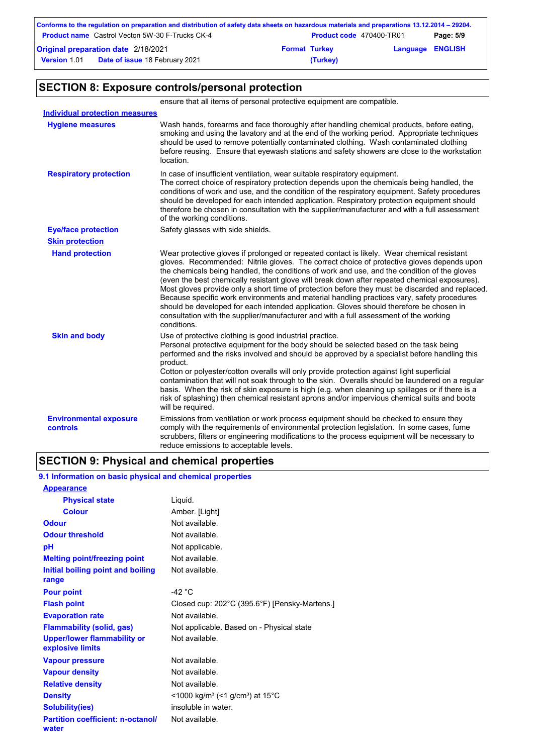|                                                        | Conforms to the regulation on preparation and distribution of safety data sheets on hazardous materials and preparations 13.12.2014 – 29204. |                                 |          |                         |  |
|--------------------------------------------------------|----------------------------------------------------------------------------------------------------------------------------------------------|---------------------------------|----------|-------------------------|--|
| <b>Product name</b> Castrol Vecton 5W-30 F-Trucks CK-4 |                                                                                                                                              | <b>Product code</b> 470400-TR01 |          | Page: 5/9               |  |
| <b>Original preparation date 2/18/2021</b>             |                                                                                                                                              | <b>Format Turkey</b>            |          | <b>Language ENGLISH</b> |  |
| <b>Version 1.01</b>                                    | <b>Date of issue 18 February 2021</b>                                                                                                        |                                 | (Turkey) |                         |  |

# **SECTION 8: Exposure controls/personal protection**

ensure that all items of personal protective equipment are compatible.

| <b>Individual protection measures</b>     |                                                                                                                                                                                                                                                                                                                                                                                                                                                                                                                                                                                                                                                                                                                                                                                              |
|-------------------------------------------|----------------------------------------------------------------------------------------------------------------------------------------------------------------------------------------------------------------------------------------------------------------------------------------------------------------------------------------------------------------------------------------------------------------------------------------------------------------------------------------------------------------------------------------------------------------------------------------------------------------------------------------------------------------------------------------------------------------------------------------------------------------------------------------------|
| <b>Hygiene measures</b>                   | Wash hands, forearms and face thoroughly after handling chemical products, before eating,<br>smoking and using the lavatory and at the end of the working period. Appropriate techniques<br>should be used to remove potentially contaminated clothing. Wash contaminated clothing<br>before reusing. Ensure that eyewash stations and safety showers are close to the workstation<br>location.                                                                                                                                                                                                                                                                                                                                                                                              |
| <b>Respiratory protection</b>             | In case of insufficient ventilation, wear suitable respiratory equipment.<br>The correct choice of respiratory protection depends upon the chemicals being handled, the<br>conditions of work and use, and the condition of the respiratory equipment. Safety procedures<br>should be developed for each intended application. Respiratory protection equipment should<br>therefore be chosen in consultation with the supplier/manufacturer and with a full assessment<br>of the working conditions.                                                                                                                                                                                                                                                                                        |
| <b>Eye/face protection</b>                | Safety glasses with side shields.                                                                                                                                                                                                                                                                                                                                                                                                                                                                                                                                                                                                                                                                                                                                                            |
| <b>Skin protection</b>                    |                                                                                                                                                                                                                                                                                                                                                                                                                                                                                                                                                                                                                                                                                                                                                                                              |
| <b>Hand protection</b>                    | Wear protective gloves if prolonged or repeated contact is likely. Wear chemical resistant<br>gloves. Recommended: Nitrile gloves. The correct choice of protective gloves depends upon<br>the chemicals being handled, the conditions of work and use, and the condition of the gloves<br>(even the best chemically resistant glove will break down after repeated chemical exposures).<br>Most gloves provide only a short time of protection before they must be discarded and replaced.<br>Because specific work environments and material handling practices vary, safety procedures<br>should be developed for each intended application. Gloves should therefore be chosen in<br>consultation with the supplier/manufacturer and with a full assessment of the working<br>conditions. |
| <b>Skin and body</b>                      | Use of protective clothing is good industrial practice.<br>Personal protective equipment for the body should be selected based on the task being<br>performed and the risks involved and should be approved by a specialist before handling this<br>product.<br>Cotton or polyester/cotton overalls will only provide protection against light superficial<br>contamination that will not soak through to the skin. Overalls should be laundered on a regular<br>basis. When the risk of skin exposure is high (e.g. when cleaning up spillages or if there is a<br>risk of splashing) then chemical resistant aprons and/or impervious chemical suits and boots<br>will be required.                                                                                                        |
| <b>Environmental exposure</b><br>controls | Emissions from ventilation or work process equipment should be checked to ensure they<br>comply with the requirements of environmental protection legislation. In some cases, fume<br>scrubbers, filters or engineering modifications to the process equipment will be necessary to<br>reduce emissions to acceptable levels.                                                                                                                                                                                                                                                                                                                                                                                                                                                                |

# **SECTION 9: Physical and chemical properties**

### **9.1 Information on basic physical and chemical properties**

| <b>Appearance</b>                                      |                                                         |
|--------------------------------------------------------|---------------------------------------------------------|
| <b>Physical state</b>                                  | Liquid.                                                 |
| <b>Colour</b>                                          | Amber. [Light]                                          |
| <b>Odour</b>                                           | Not available.                                          |
| <b>Odour threshold</b>                                 | Not available.                                          |
| рH                                                     | Not applicable.                                         |
| <b>Melting point/freezing point</b>                    | Not available.                                          |
| Initial boiling point and boiling<br>range             | Not available.                                          |
| <b>Pour point</b>                                      | $-42 °C$                                                |
| <b>Flash point</b>                                     | Closed cup: 202°C (395.6°F) [Pensky-Martens.]           |
| <b>Evaporation rate</b>                                | Not available.                                          |
| <b>Flammability (solid, gas)</b>                       | Not applicable. Based on - Physical state               |
| <b>Upper/lower flammability or</b><br>explosive limits | Not available.                                          |
| <b>Vapour pressure</b>                                 | Not available.                                          |
| <b>Vapour density</b>                                  | Not available.                                          |
| <b>Relative density</b>                                | Not available.                                          |
| <b>Density</b>                                         | <1000 kg/m <sup>3</sup> (<1 g/cm <sup>3</sup> ) at 15°C |
| <b>Solubility(ies)</b>                                 | insoluble in water.                                     |
| <b>Partition coefficient: n-octanol/</b><br>water      | Not available.                                          |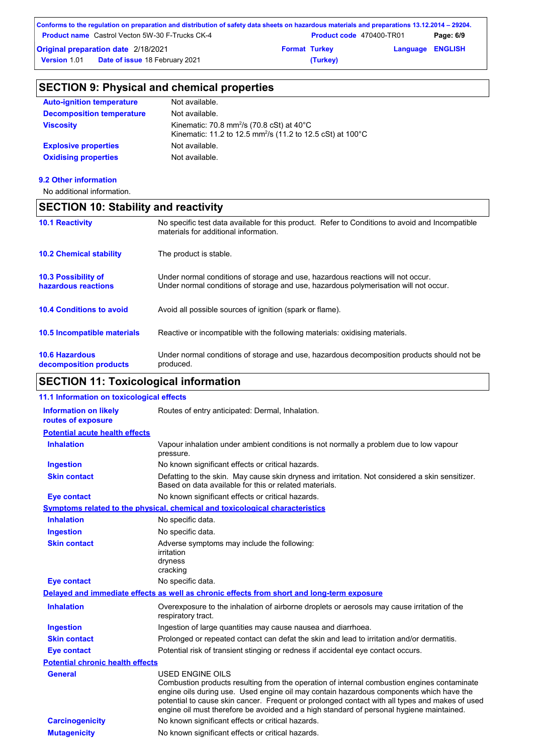|                                            | Conforms to the regulation on preparation and distribution of safety data sheets on hazardous materials and preparations 13.12.2014 – 29204. |                      |                                 |                         |           |
|--------------------------------------------|----------------------------------------------------------------------------------------------------------------------------------------------|----------------------|---------------------------------|-------------------------|-----------|
|                                            | <b>Product name</b> Castrol Vecton 5W-30 F-Trucks CK-4                                                                                       |                      | <b>Product code</b> 470400-TR01 |                         | Page: 6/9 |
| <b>Original preparation date 2/18/2021</b> |                                                                                                                                              | <b>Format Turkey</b> |                                 | <b>Language ENGLISH</b> |           |
| <b>Version 1.01</b>                        | <b>Date of issue 18 February 2021</b>                                                                                                        |                      | (Turkey)                        |                         |           |

| <b>SECTION 9: Physical and chemical properties</b> |                                                                                   |  |
|----------------------------------------------------|-----------------------------------------------------------------------------------|--|
| <b>Auto-ignition temperature</b>                   | Not available.                                                                    |  |
| <b>Decomposition temperature</b>                   | Not available.                                                                    |  |
| <i>Mannelbu</i>                                    | Kinomatic: $70.9 \text{ mm}^2/\text{s}$ $(70.9 \text{ s}^2)$ $(10.9 \text{ s}^2)$ |  |

| <b>Viscosity</b>            | Kinematic: 70.8 mm <sup>2</sup> /s (70.8 cSt) at $40^{\circ}$ C<br>Kinematic: 11.2 to 12.5 mm <sup>2</sup> /s (11.2 to 12.5 cSt) at 100 °C |
|-----------------------------|--------------------------------------------------------------------------------------------------------------------------------------------|
| <b>Explosive properties</b> | Not available.                                                                                                                             |
| <b>Oxidising properties</b> | Not available.                                                                                                                             |

**9.2 Other information**

 $\mathbf{r}$ 

No additional information.

# **SECTION 10: Stability and reactivity**

| CECTION 44. Tavian laginal information          |                                                                                                                                                                         |
|-------------------------------------------------|-------------------------------------------------------------------------------------------------------------------------------------------------------------------------|
| <b>10.6 Hazardous</b><br>decomposition products | Under normal conditions of storage and use, hazardous decomposition products should not be<br>produced.                                                                 |
| <b>10.5 Incompatible materials</b>              | Reactive or incompatible with the following materials: oxidising materials.                                                                                             |
| <b>10.4 Conditions to avoid</b>                 | Avoid all possible sources of ignition (spark or flame).                                                                                                                |
| 10.3 Possibility of<br>hazardous reactions      | Under normal conditions of storage and use, hazardous reactions will not occur.<br>Under normal conditions of storage and use, hazardous polymerisation will not occur. |
| <b>10.2 Chemical stability</b>                  | The product is stable.                                                                                                                                                  |
| <b>10.1 Reactivity</b>                          | No specific test data available for this product. Refer to Conditions to avoid and Incompatible<br>materials for additional information.                                |

# **SECTION 11: Toxicological information**

| 11.1 Information on toxicological effects          |                                                                                                                                                                                                                                                                                                                                                                                                                 |
|----------------------------------------------------|-----------------------------------------------------------------------------------------------------------------------------------------------------------------------------------------------------------------------------------------------------------------------------------------------------------------------------------------------------------------------------------------------------------------|
| <b>Information on likely</b><br>routes of exposure | Routes of entry anticipated: Dermal, Inhalation.                                                                                                                                                                                                                                                                                                                                                                |
| <b>Potential acute health effects</b>              |                                                                                                                                                                                                                                                                                                                                                                                                                 |
| <b>Inhalation</b>                                  | Vapour inhalation under ambient conditions is not normally a problem due to low vapour<br>pressure.                                                                                                                                                                                                                                                                                                             |
| <b>Ingestion</b>                                   | No known significant effects or critical hazards.                                                                                                                                                                                                                                                                                                                                                               |
| <b>Skin contact</b>                                | Defatting to the skin. May cause skin dryness and irritation. Not considered a skin sensitizer.<br>Based on data available for this or related materials.                                                                                                                                                                                                                                                       |
| <b>Eye contact</b>                                 | No known significant effects or critical hazards.                                                                                                                                                                                                                                                                                                                                                               |
|                                                    | Symptoms related to the physical, chemical and toxicological characteristics                                                                                                                                                                                                                                                                                                                                    |
| <b>Inhalation</b>                                  | No specific data.                                                                                                                                                                                                                                                                                                                                                                                               |
| <b>Ingestion</b>                                   | No specific data.                                                                                                                                                                                                                                                                                                                                                                                               |
| <b>Skin contact</b>                                | Adverse symptoms may include the following:<br>irritation<br>dryness<br>cracking                                                                                                                                                                                                                                                                                                                                |
| <b>Eye contact</b>                                 | No specific data.                                                                                                                                                                                                                                                                                                                                                                                               |
|                                                    | Delayed and immediate effects as well as chronic effects from short and long-term exposure                                                                                                                                                                                                                                                                                                                      |
| <b>Inhalation</b>                                  | Overexposure to the inhalation of airborne droplets or aerosols may cause irritation of the<br>respiratory tract.                                                                                                                                                                                                                                                                                               |
| <b>Ingestion</b>                                   | Ingestion of large quantities may cause nausea and diarrhoea.                                                                                                                                                                                                                                                                                                                                                   |
| <b>Skin contact</b>                                | Prolonged or repeated contact can defat the skin and lead to irritation and/or dermatitis.                                                                                                                                                                                                                                                                                                                      |
| <b>Eye contact</b>                                 | Potential risk of transient stinging or redness if accidental eye contact occurs.                                                                                                                                                                                                                                                                                                                               |
| <b>Potential chronic health effects</b>            |                                                                                                                                                                                                                                                                                                                                                                                                                 |
| <b>General</b>                                     | <b>USED ENGINE OILS</b><br>Combustion products resulting from the operation of internal combustion engines contaminate<br>engine oils during use. Used engine oil may contain hazardous components which have the<br>potential to cause skin cancer. Frequent or prolonged contact with all types and makes of used<br>engine oil must therefore be avoided and a high standard of personal hygiene maintained. |
| <b>Carcinogenicity</b>                             | No known significant effects or critical hazards.                                                                                                                                                                                                                                                                                                                                                               |
| <b>Mutagenicity</b>                                | No known significant effects or critical hazards.                                                                                                                                                                                                                                                                                                                                                               |
|                                                    |                                                                                                                                                                                                                                                                                                                                                                                                                 |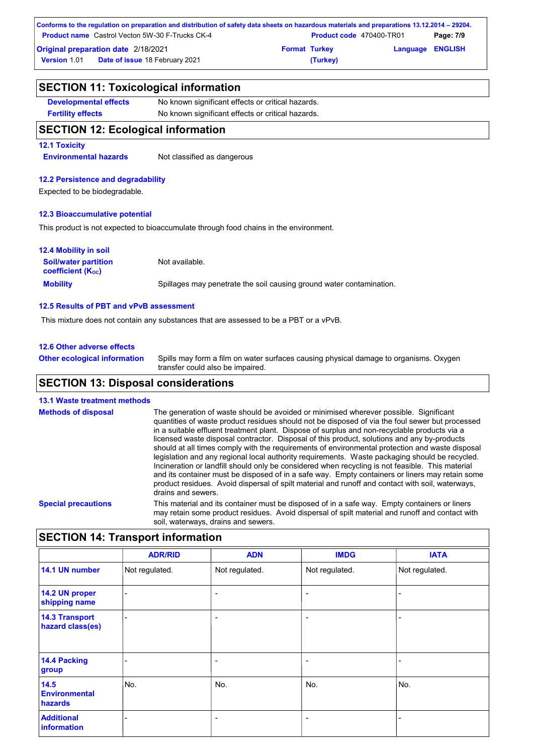|                                            | Conforms to the regulation on preparation and distribution of safety data sheets on hazardous materials and preparations 13.12.2014 – 29204. |                      |                                 |                         |           |
|--------------------------------------------|----------------------------------------------------------------------------------------------------------------------------------------------|----------------------|---------------------------------|-------------------------|-----------|
|                                            | <b>Product name</b> Castrol Vecton 5W-30 F-Trucks CK-4                                                                                       |                      | <b>Product code</b> 470400-TR01 |                         | Page: 7/9 |
| <b>Original preparation date 2/18/2021</b> |                                                                                                                                              | <b>Format Turkey</b> |                                 | <b>Language ENGLISH</b> |           |
|                                            | <b>Version 1.01 Date of issue 18 February 2021</b>                                                                                           |                      | (Turkey)                        |                         |           |

| <b>SECTION 11: Toxicological information</b>            |                                                                                       |  |  |  |
|---------------------------------------------------------|---------------------------------------------------------------------------------------|--|--|--|
| <b>Developmental effects</b>                            | No known significant effects or critical hazards.                                     |  |  |  |
| <b>Fertility effects</b>                                | No known significant effects or critical hazards.                                     |  |  |  |
| <b>SECTION 12: Ecological information</b>               |                                                                                       |  |  |  |
| <b>12.1 Toxicity</b>                                    |                                                                                       |  |  |  |
| <b>Environmental hazards</b>                            | Not classified as dangerous                                                           |  |  |  |
| 12.2 Persistence and degradability                      |                                                                                       |  |  |  |
| Expected to be biodegradable.                           |                                                                                       |  |  |  |
| <b>12.3 Bioaccumulative potential</b>                   |                                                                                       |  |  |  |
|                                                         | This product is not expected to bioaccumulate through food chains in the environment. |  |  |  |
| <b>12.4 Mobility in soil</b>                            |                                                                                       |  |  |  |
| <b>Soil/water partition</b><br><b>coefficient (Koc)</b> | Not available.                                                                        |  |  |  |
| <b>Mobility</b>                                         | Spillages may penetrate the soil causing ground water contamination.                  |  |  |  |

#### **12.5 Results of PBT and vPvB assessment**

This mixture does not contain any substances that are assessed to be a PBT or a vPvB.

#### **12.6 Other adverse effects**

**Other ecological information**

Spills may form a film on water surfaces causing physical damage to organisms. Oxygen transfer could also be impaired.

### **SECTION 13: Disposal considerations**

#### **13.1 Waste treatment methods**

| <b>Methods of disposal</b> | The generation of waste should be avoided or minimised wherever possible. Significant<br>quantities of waste product residues should not be disposed of via the foul sewer but processed<br>in a suitable effluent treatment plant. Dispose of surplus and non-recyclable products via a<br>licensed waste disposal contractor. Disposal of this product, solutions and any by-products<br>should at all times comply with the requirements of environmental protection and waste disposal<br>legislation and any regional local authority requirements. Waste packaging should be recycled.<br>Incineration or landfill should only be considered when recycling is not feasible. This material<br>and its container must be disposed of in a safe way. Empty containers or liners may retain some<br>product residues. Avoid dispersal of spilt material and runoff and contact with soil, waterways,<br>drains and sewers. |
|----------------------------|-------------------------------------------------------------------------------------------------------------------------------------------------------------------------------------------------------------------------------------------------------------------------------------------------------------------------------------------------------------------------------------------------------------------------------------------------------------------------------------------------------------------------------------------------------------------------------------------------------------------------------------------------------------------------------------------------------------------------------------------------------------------------------------------------------------------------------------------------------------------------------------------------------------------------------|
| <b>Special precautions</b> | This material and its container must be disposed of in a safe way. Empty containers or liners<br>may retain some product residues. Avoid dispersal of spilt material and runoff and contact with<br>soil, waterways, drains and sewers.                                                                                                                                                                                                                                                                                                                                                                                                                                                                                                                                                                                                                                                                                       |

# **SECTION 14: Transport information**

|                                                | <b>ADR/RID</b> | <b>ADN</b>               | <b>IMDG</b>              | <b>IATA</b>    |
|------------------------------------------------|----------------|--------------------------|--------------------------|----------------|
| 14.1 UN number                                 | Not regulated. | Not regulated.           | Not regulated.           | Not regulated. |
| 14.2 UN proper<br>shipping name                | <b>11</b>      | $\overline{\phantom{0}}$ | $\overline{\phantom{0}}$ | -              |
| <b>14.3 Transport</b><br>hazard class(es)      | ٠              | $\overline{\phantom{0}}$ | $\overline{\phantom{0}}$ |                |
| 14.4 Packing<br>group                          |                | $\overline{\phantom{0}}$ | $\overline{\phantom{0}}$ |                |
| 14.5<br><b>Environmental</b><br><b>hazards</b> | No.            | No.                      | No.                      | No.            |
| <b>Additional</b><br>information               |                | $\overline{\phantom{a}}$ | $\overline{\phantom{0}}$ |                |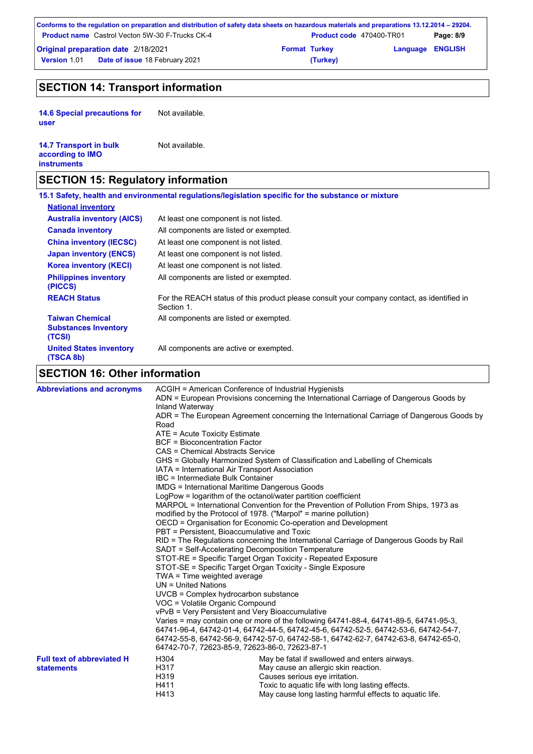|                                            | Conforms to the regulation on preparation and distribution of safety data sheets on hazardous materials and preparations 13.12.2014 – 29204. |                      |                                 |                         |           |
|--------------------------------------------|----------------------------------------------------------------------------------------------------------------------------------------------|----------------------|---------------------------------|-------------------------|-----------|
|                                            | <b>Product name</b> Castrol Vecton 5W-30 F-Trucks CK-4                                                                                       |                      | <b>Product code</b> 470400-TR01 |                         | Page: 8/9 |
| <b>Original preparation date 2/18/2021</b> |                                                                                                                                              | <b>Format Turkey</b> |                                 | <b>Language ENGLISH</b> |           |
| <b>Version</b> 1.01                        | <b>Date of issue 18 February 2021</b>                                                                                                        |                      | (Turkey)                        |                         |           |

# **SECTION 14: Transport information**

**14.6 Special precautions for user** Not available.

| <b>14.7 Transport in bulk</b> | Not available. |
|-------------------------------|----------------|
| according to IMO              |                |
| <b>instruments</b>            |                |

# **SECTION 15: Regulatory information**

|                                                                 | 15.1 Safety, health and environmental regulations/legislation specific for the substance or mixture      |
|-----------------------------------------------------------------|----------------------------------------------------------------------------------------------------------|
| <b>National inventory</b>                                       |                                                                                                          |
| <b>Australia inventory (AICS)</b>                               | At least one component is not listed.                                                                    |
| <b>Canada inventory</b>                                         | All components are listed or exempted.                                                                   |
| <b>China inventory (IECSC)</b>                                  | At least one component is not listed.                                                                    |
| <b>Japan inventory (ENCS)</b>                                   | At least one component is not listed.                                                                    |
| <b>Korea inventory (KECI)</b>                                   | At least one component is not listed.                                                                    |
| <b>Philippines inventory</b><br>(PICCS)                         | All components are listed or exempted.                                                                   |
| <b>REACH Status</b>                                             | For the REACH status of this product please consult your company contact, as identified in<br>Section 1. |
| <b>Taiwan Chemical</b><br><b>Substances Inventory</b><br>(TCSI) | All components are listed or exempted.                                                                   |
| <b>United States inventory</b><br>(TSCA 8b)                     | All components are active or exempted.                                                                   |

# **SECTION 16: Other information**

| <b>Abbreviations and acronyms</b>                      | Inland Waterway<br>ADR = The European Agreement concerning the International Carriage of Dangerous Goods by<br>Road<br>ATE = Acute Toxicity Estimate<br>BCF = Bioconcentration Factor<br>CAS = Chemical Abstracts Service<br>GHS = Globally Harmonized System of Classification and Labelling of Chemicals<br>IATA = International Air Transport Association<br>IBC = Intermediate Bulk Container<br>IMDG = International Maritime Dangerous Goods<br>LogPow = logarithm of the octanol/water partition coefficient<br>MARPOL = International Convention for the Prevention of Pollution From Ships, 1973 as<br>modified by the Protocol of 1978. ("Marpol" = marine pollution)<br>OECD = Organisation for Economic Co-operation and Development<br>PBT = Persistent, Bioaccumulative and Toxic<br>RID = The Regulations concerning the International Carriage of Dangerous Goods by Rail<br>SADT = Self-Accelerating Decomposition Temperature<br>STOT-RE = Specific Target Organ Toxicity - Repeated Exposure<br>STOT-SE = Specific Target Organ Toxicity - Single Exposure<br>TWA = Time weighted average<br>$UN = United Nations$<br>UVCB = Complex hydrocarbon substance<br>VOC = Volatile Organic Compound<br>vPvB = Very Persistent and Very Bioaccumulative<br>Varies = may contain one or more of the following 64741-88-4, 64741-89-5, 64741-95-3,<br>64741-96-4, 64742-01-4, 64742-44-5, 64742-45-6, 64742-52-5, 64742-53-6, 64742-54-7,<br>64742-55-8, 64742-56-9, 64742-57-0, 64742-58-1, 64742-62-7, 64742-63-8, 64742-65-0,<br>64742-70-7, 72623-85-9, 72623-86-0, 72623-87-1 |                                                                                                                                                                                                                                        |  |  |  |
|--------------------------------------------------------|----------------------------------------------------------------------------------------------------------------------------------------------------------------------------------------------------------------------------------------------------------------------------------------------------------------------------------------------------------------------------------------------------------------------------------------------------------------------------------------------------------------------------------------------------------------------------------------------------------------------------------------------------------------------------------------------------------------------------------------------------------------------------------------------------------------------------------------------------------------------------------------------------------------------------------------------------------------------------------------------------------------------------------------------------------------------------------------------------------------------------------------------------------------------------------------------------------------------------------------------------------------------------------------------------------------------------------------------------------------------------------------------------------------------------------------------------------------------------------------------------------------------------------------------------------------------------------------------|----------------------------------------------------------------------------------------------------------------------------------------------------------------------------------------------------------------------------------------|--|--|--|
| <b>Full text of abbreviated H</b><br><b>statements</b> | H304<br>H317<br>H319<br>H411<br>H413                                                                                                                                                                                                                                                                                                                                                                                                                                                                                                                                                                                                                                                                                                                                                                                                                                                                                                                                                                                                                                                                                                                                                                                                                                                                                                                                                                                                                                                                                                                                                         | May be fatal if swallowed and enters airways.<br>May cause an allergic skin reaction.<br>Causes serious eye irritation.<br>Toxic to aquatic life with long lasting effects.<br>May cause long lasting harmful effects to aquatic life. |  |  |  |